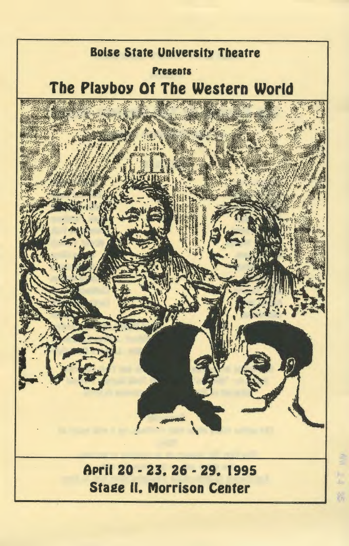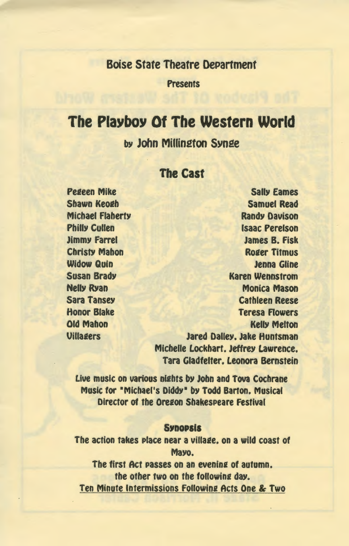## Boise State Theatre DePartment

Presents

# The Playboy Of The Western World

by John Millington Synge

#### The Cast

Peaeen Mike Shawn Keoah **Michael Flaherty** Philly Cullen Jimmy Farrel **Christy Mahon** Widow Quin Susan Brady **Nelly Ryan** Sara Tansey Honor Blake Old Mahon **Uillagers** 

SallY Eames Samuel Read Randy Davison Isaac Perelson James B. Fisk **Roger Titmus** Jenna Gline Karen Wennstrom Monica Mason Cathleen Reese Teresa Rowers KellY Melton Jared Dalley. Jake Huntsman Michelle Lockhart. Jeffrey Lawrence. Tara Gladfelter. Leonora Bernstein

Live music on various nights by John and Tova Cochrane Music for •Michael's Diddy• by Todd Barton. Musical Director of the Oregon Shakespeare Festival

#### **Synopsis**

The action takes place near a village, on a wild coast of Mayo.

The first Act passes on an evening of autumn. the other two on the following day. Ten Minute Intermissions Followina Acts One & Two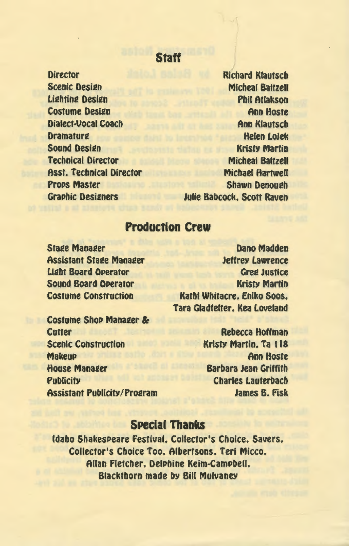## **Staff**

**Director Scenic Design Lighting Design** Costume Desifn Dialect-Vocal Coach **Dramaturg** Sound Desifn Technical Director Asst. Technical Director **Props Master Graphic Designers** 

Rfchard Klautsch Micheal Baltzell Phil Atlakson Ann Hoste **Ann Klautsch** Helen Lojek **Kristy Martin** Micheal Baltzell Michael Hartwell **Shawn Denough** Julie Babcock. Scott Raven

/

# **Production Crew**

**Stage Manager Assistant Stage Manager** Lifht Board OPerator Sound Board OPerator Costume Construction

Dano Madden Jeffrey Lawrence **Greg Justice Kristy Martin** Kathl Whitacre. Eniko Soos. Tara Gladfelter. Kea Loveland

Costume Shop Manager & **Cutter** Scenic Construction **Makeup House Manager Publicity Assistant Publicity/Program** 

Rebecca Hoffman KrisfY Martin. Ta 118 Ann Hoste Barbara Jean Griffith Charles Lauterbach James B. Fisk

# **SPecial Thanks**

Idaho ShakesPeare Festival. Collector's Choice. Savers. Collector's Choice Too. Albertsons. Teri Micco. Allan Fletcher. DelPhine Keim-CamPbell. Blackthorn made by Bill Mulvaney